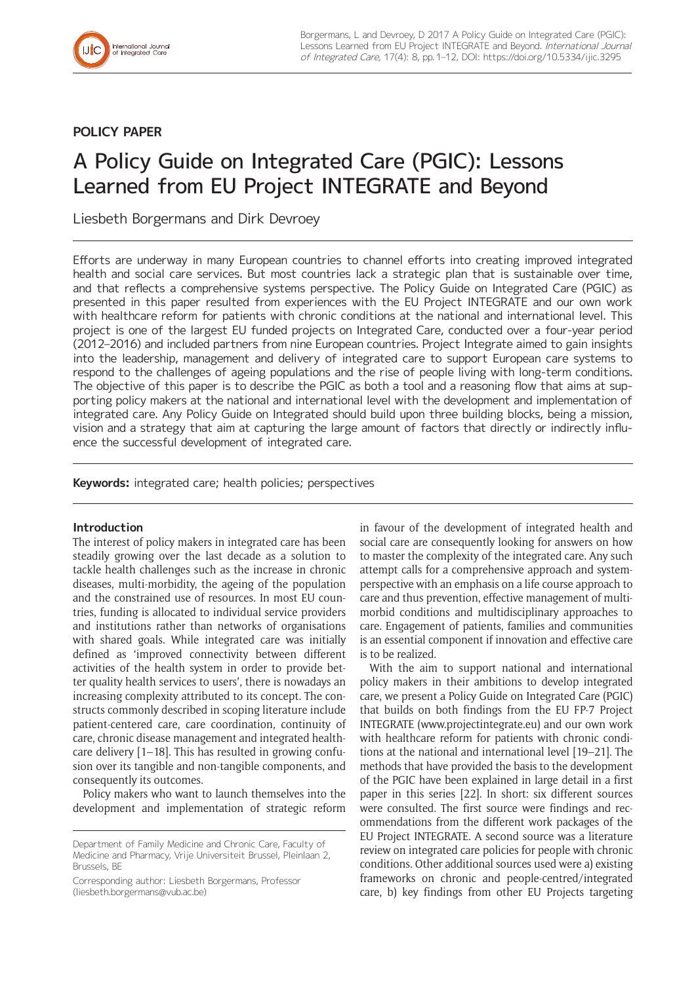

## **POLICY PAPER**

# A Policy Guide on Integrated Care (PGIC): Lessons Learned from EU Project INTEGRATE and Beyond

Liesbeth Borgermans and Dirk Devroey

Efforts are underway in many European countries to channel efforts into creating improved integrated health and social care services. But most countries lack a strategic plan that is sustainable over time, and that reflects a comprehensive systems perspective. The Policy Guide on Integrated Care (PGIC) as presented in this paper resulted from experiences with the EU Project INTEGRATE and our own work with healthcare reform for patients with chronic conditions at the national and international level. This project is one of the largest EU funded projects on Integrated Care, conducted over a four-year period (2012–2016) and included partners from nine European countries. Project Integrate aimed to gain insights into the leadership, management and delivery of integrated care to support European care systems to respond to the challenges of ageing populations and the rise of people living with long-term conditions. The objective of this paper is to describe the PGIC as both a tool and a reasoning flow that aims at supporting policy makers at the national and international level with the development and implementation of integrated care. Any Policy Guide on Integrated should build upon three building blocks, being a mission, vision and a strategy that aim at capturing the large amount of factors that directly or indirectly influence the successful development of integrated care.

**Keywords:** integrated care; health policies; perspectives

## **Introduction**

The interest of policy makers in integrated care has been steadily growing over the last decade as a solution to tackle health challenges such as the increase in chronic diseases, multi-morbidity, the ageing of the population and the constrained use of resources. In most EU countries, funding is allocated to individual service providers and institutions rather than networks of organisations with shared goals. While integrated care was initially defined as 'improved connectivity between different activities of the health system in order to provide better quality health services to users', there is nowadays an increasing complexity attributed to its concept. The constructs commonly described in scoping literature include patient-centered care, care coordination, continuity of care, chronic disease management and integrated healthcare delivery [1–18]. This has resulted in growing confusion over its tangible and non-tangible components, and consequently its outcomes.

Policy makers who want to launch themselves into the development and implementation of strategic reform

Corresponding author: Liesbeth Borgermans, Professor [\(liesbeth.borgermans@vub.ac.be](mailto:liesbeth.borgermans@vub.ac.be))

in favour of the development of integrated health and social care are consequently looking for answers on how to master the complexity of the integrated care. Any such attempt calls for a comprehensive approach and systemperspective with an emphasis on a life course approach to care and thus prevention, effective management of multimorbid conditions and multidisciplinary approaches to care. Engagement of patients, families and communities is an essential component if innovation and effective care is to be realized.

With the aim to support national and international policy makers in their ambitions to develop integrated care, we present a Policy Guide on Integrated Care (PGIC) that builds on both findings from the EU FP-7 Project INTEGRATE [\(www.projectintegrate.eu\)](www.projectintegrate.eu) and our own work with healthcare reform for patients with chronic conditions at the national and international level [19–21]. The methods that have provided the basis to the development of the PGIC have been explained in large detail in a first paper in this series [22]. In short: six different sources were consulted. The first source were findings and recommendations from the different work packages of the EU Project INTEGRATE. A second source was a literature review on integrated care policies for people with chronic conditions. Other additional sources used were a) existing frameworks on chronic and people-centred/integrated care, b) key findings from other EU Projects targeting

Department of Family Medicine and Chronic Care, Faculty of Medicine and Pharmacy, Vrije Universiteit Brussel, Pleinlaan 2, Brussels, BE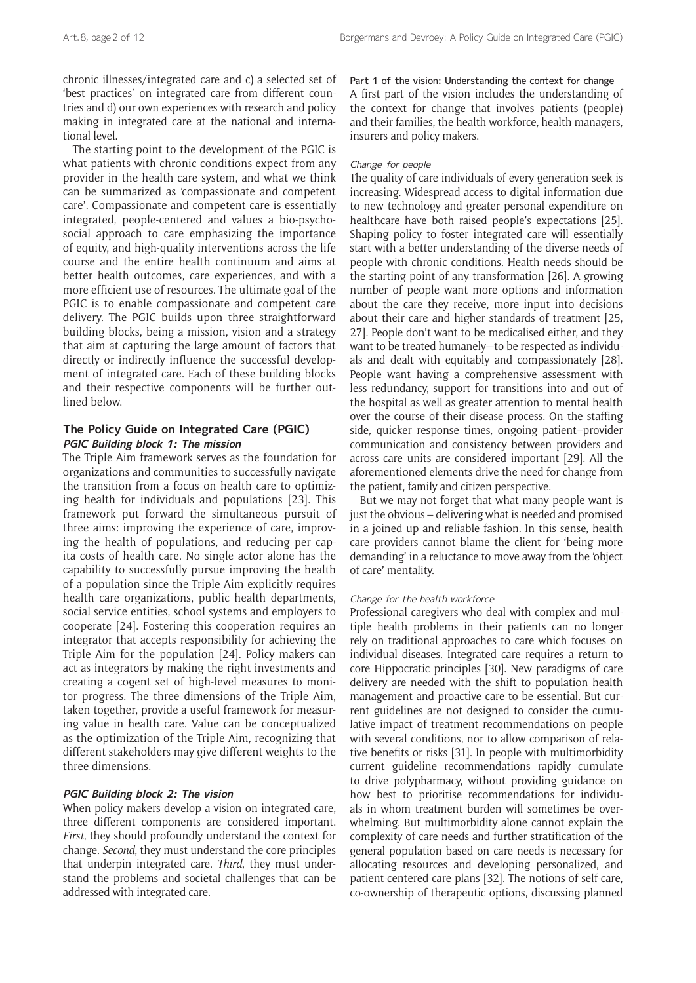chronic illnesses/integrated care and c) a selected set of 'best practices' on integrated care from different countries and d) our own experiences with research and policy making in integrated care at the national and international level.

The starting point to the development of the PGIC is what patients with chronic conditions expect from any provider in the health care system, and what we think can be summarized as 'compassionate and competent care'. Compassionate and competent care is essentially integrated, people-centered and values a bio-psychosocial approach to care emphasizing the importance of equity, and high-quality interventions across the life course and the entire health continuum and aims at better health outcomes, care experiences, and with a more efficient use of resources. The ultimate goal of the PGIC is to enable compassionate and competent care delivery. The PGIC builds upon three straightforward building blocks, being a mission, vision and a strategy that aim at capturing the large amount of factors that directly or indirectly influence the successful development of integrated care. Each of these building blocks and their respective components will be further outlined below.

## **The Policy Guide on Integrated Care (PGIC) PGIC Building block 1: The mission**

The Triple Aim framework serves as the foundation for organizations and communities to successfully navigate the transition from a focus on health care to optimizing health for individuals and populations [23]. This framework put forward the simultaneous pursuit of three aims: improving the experience of care, improving the health of populations, and reducing per capita costs of health care. No single actor alone has the capability to successfully pursue improving the health of a population since the Triple Aim explicitly requires health care organizations, public health departments, social service entities, school systems and employers to cooperate [24]. Fostering this cooperation requires an integrator that accepts responsibility for achieving the Triple Aim for the population [24]. Policy makers can act as integrators by making the right investments and creating a cogent set of high-level measures to monitor progress. The three dimensions of the Triple Aim, taken together, provide a useful framework for measuring value in health care. Value can be conceptualized as the optimization of the Triple Aim, recognizing that different stakeholders may give different weights to the three dimensions.

#### **PGIC Building block 2: The vision**

When policy makers develop a vision on integrated care, three different components are considered important. *First*, they should profoundly understand the context for change. *Second*, they must understand the core principles that underpin integrated care. *Third*, they must understand the problems and societal challenges that can be addressed with integrated care.

Part 1 of the vision: Understanding the context for change A first part of the vision includes the understanding of the context for change that involves patients (people) and their families, the health workforce, health managers, insurers and policy makers.

#### Change for people

The quality of care individuals of every generation seek is increasing. Widespread access to digital information due to new technology and greater personal expenditure on healthcare have both raised people's expectations [25]. Shaping policy to foster integrated care will essentially start with a better understanding of the diverse needs of people with chronic conditions. Health needs should be the starting point of any transformation [26]. A growing number of people want more options and information about the care they receive, more input into decisions about their care and higher standards of treatment [25, 27]. People don't want to be medicalised either, and they want to be treated humanely—to be respected as individuals and dealt with equitably and compassionately [28]. People want having a comprehensive assessment with less redundancy, support for transitions into and out of the hospital as well as greater attention to mental health over the course of their disease process. On the staffing side, quicker response times, ongoing patient–provider communication and consistency between providers and across care units are considered important [29]. All the aforementioned elements drive the need for change from the patient, family and citizen perspective.

But we may not forget that what many people want is just the obvious – delivering what is needed and promised in a joined up and reliable fashion. In this sense, health care providers cannot blame the client for 'being more demanding' in a reluctance to move away from the 'object of care' mentality.

#### Change for the health workforce

Professional caregivers who deal with complex and multiple health problems in their patients can no longer rely on traditional approaches to care which focuses on individual diseases. Integrated care requires a return to core Hippocratic principles [30]. New paradigms of care delivery are needed with the shift to population health management and proactive care to be essential. But current guidelines are not designed to consider the cumulative impact of treatment recommendations on people with several conditions, nor to allow comparison of relative benefits or risks [31]. In people with multimorbidity current guideline recommendations rapidly cumulate to drive polypharmacy, without providing guidance on how best to prioritise recommendations for individuals in whom treatment burden will sometimes be overwhelming. But multimorbidity alone cannot explain the complexity of care needs and further stratification of the general population based on care needs is necessary for allocating resources and developing personalized, and patient-centered care plans [32]. The notions of self-care, co-ownership of therapeutic options, discussing planned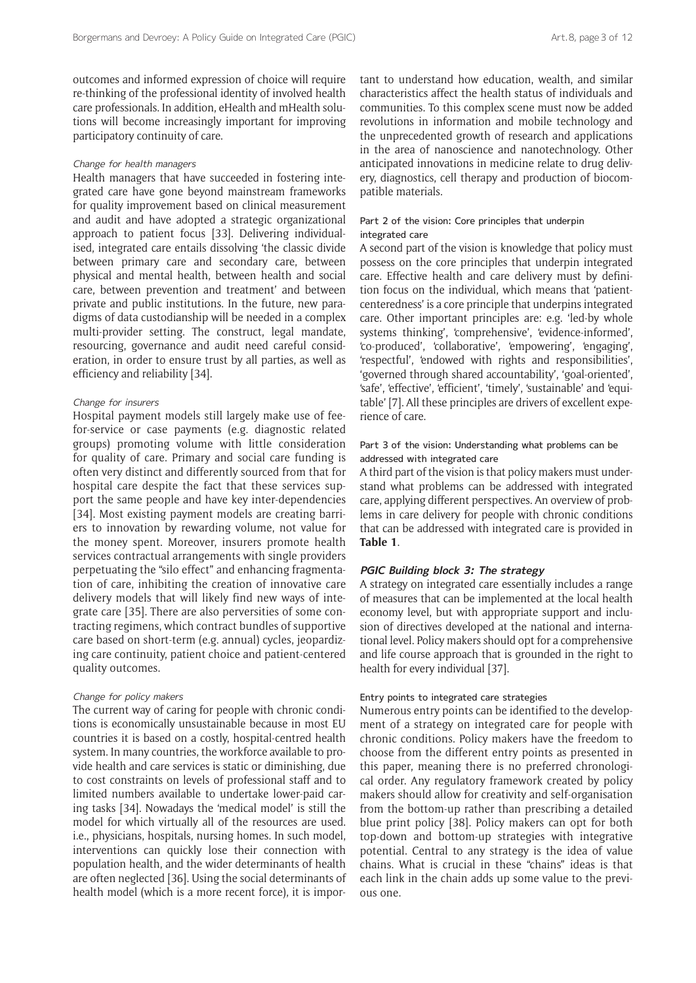outcomes and informed expression of choice will require re-thinking of the professional identity of involved health care professionals. In addition, eHealth and mHealth solutions will become increasingly important for improving participatory continuity of care.

#### Change for health managers

Health managers that have succeeded in fostering integrated care have gone beyond mainstream frameworks for quality improvement based on clinical measurement and audit and have adopted a strategic organizational approach to patient focus [33]. Delivering individualised, integrated care entails dissolving 'the classic divide between primary care and secondary care, between physical and mental health, between health and social care, between prevention and treatment' and between private and public institutions. In the future, new paradigms of data custodianship will be needed in a complex multi-provider setting. The construct, legal mandate, resourcing, governance and audit need careful consideration, in order to ensure trust by all parties, as well as efficiency and reliability [34].

#### Change for insurers

Hospital payment models still largely make use of feefor-service or case payments (e.g. diagnostic related groups) promoting volume with little consideration for quality of care. Primary and social care funding is often very distinct and differently sourced from that for hospital care despite the fact that these services support the same people and have key inter-dependencies [34]. Most existing payment models are creating barriers to innovation by rewarding volume, not value for the money spent. Moreover, insurers promote health services contractual arrangements with single providers perpetuating the "silo effect" and enhancing fragmentation of care, inhibiting the creation of innovative care delivery models that will likely find new ways of integrate care [35]. There are also perversities of some contracting regimens, which contract bundles of supportive care based on short-term (e.g. annual) cycles, jeopardizing care continuity, patient choice and patient-centered quality outcomes.

#### Change for policy makers

The current way of caring for people with chronic conditions is economically unsustainable because in most EU countries it is based on a costly, hospital-centred health system. In many countries, the workforce available to provide health and care services is static or diminishing, due to cost constraints on levels of professional staff and to limited numbers available to undertake lower-paid caring tasks [34]. Nowadays the 'medical model' is still the model for which virtually all of the resources are used. i.e., physicians, hospitals, nursing homes. In such model, interventions can quickly lose their connection with population health, and the wider determinants of health are often neglected [36]. Using the social determinants of health model (which is a more recent force), it is important to understand how education, wealth, and similar characteristics affect the health status of individuals and communities. To this complex scene must now be added revolutions in information and mobile technology and the unprecedented growth of research and applications in the area of nanoscience and nanotechnology. Other anticipated innovations in medicine relate to drug delivery, diagnostics, cell therapy and production of biocompatible materials.

#### Part 2 of the vision: Core principles that underpin integrated care

A second part of the vision is knowledge that policy must possess on the core principles that underpin integrated care. Effective health and care delivery must by definition focus on the individual, which means that 'patientcenteredness' is a core principle that underpins integrated care. Other important principles are: e.g. 'led-by whole systems thinking', 'comprehensive', 'evidence-informed', 'co-produced', 'collaborative', 'empowering', 'engaging', 'respectful', 'endowed with rights and responsibilities', 'governed through shared accountability', 'goal-oriented', 'safe', 'effective', 'efficient', 'timely', 'sustainable' and 'equitable' [7]. All these principles are drivers of excellent experience of care.

#### Part 3 of the vision: Understanding what problems can be addressed with integrated care

A third part of the vision is that policy makers must understand what problems can be addressed with integrated care, applying different perspectives. An overview of problems in care delivery for people with chronic conditions that can be addressed with integrated care is provided in **Table 1**.

#### **PGIC Building block 3: The strategy**

A strategy on integrated care essentially includes a range of measures that can be implemented at the local health economy level, but with appropriate support and inclusion of directives developed at the national and international level. Policy makers should opt for a comprehensive and life course approach that is grounded in the right to health for every individual [37].

#### Entry points to integrated care strategies

Numerous entry points can be identified to the development of a strategy on integrated care for people with chronic conditions. Policy makers have the freedom to choose from the different entry points as presented in this paper, meaning there is no preferred chronological order. Any regulatory framework created by policy makers should allow for creativity and self-organisation from the bottom-up rather than prescribing a detailed blue print policy [38]. Policy makers can opt for both top-down and bottom-up strategies with integrative potential. Central to any strategy is the idea of value chains. What is crucial in these "chains" ideas is that each link in the chain adds up some value to the previous one.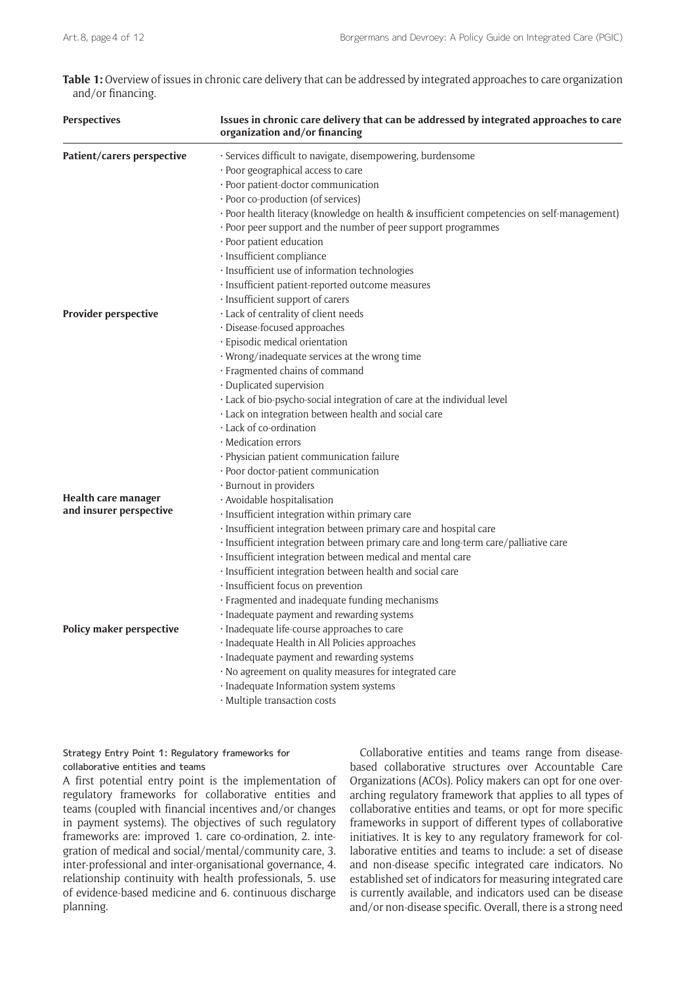**Table 1:** Overview of issues in chronic care delivery that can be addressed by integrated approaches to care organization and/or financing.

| <b>Perspectives</b>        | Issues in chronic care delivery that can be addressed by integrated approaches to care<br>organization and/or financing |
|----------------------------|-------------------------------------------------------------------------------------------------------------------------|
| Patient/carers perspective | · Services difficult to navigate, disempowering, burdensome                                                             |
|                            | · Poor geographical access to care                                                                                      |
|                            | · Poor patient-doctor communication                                                                                     |
|                            | · Poor co-production (of services)                                                                                      |
|                            | · Poor health literacy (knowledge on health & insufficient competencies on self-management)                             |
|                            | · Poor peer support and the number of peer support programmes                                                           |
|                            | · Poor patient education                                                                                                |
|                            | · Insufficient compliance                                                                                               |
|                            | · Insufficient use of information technologies                                                                          |
|                            | · Insufficient patient-reported outcome measures                                                                        |
|                            | · Insufficient support of carers                                                                                        |
| Provider perspective       | · Lack of centrality of client needs                                                                                    |
|                            | · Disease-focused approaches                                                                                            |
|                            | · Episodic medical orientation                                                                                          |
|                            | · Wrong/inadequate services at the wrong time                                                                           |
|                            | · Fragmented chains of command                                                                                          |
|                            | · Duplicated supervision                                                                                                |
|                            | · Lack of bio-psycho-social integration of care at the individual level                                                 |
|                            | · Lack on integration between health and social care                                                                    |
|                            | · Lack of co-ordination                                                                                                 |
|                            | · Medication errors                                                                                                     |
|                            | · Physician patient communication failure                                                                               |
|                            | · Poor doctor-patient communication                                                                                     |
|                            | · Burnout in providers                                                                                                  |
| Health care manager        | · Avoidable hospitalisation                                                                                             |
| and insurer perspective    | · Insufficient integration within primary care                                                                          |
|                            | · Insufficient integration between primary care and hospital care                                                       |
|                            | · Insufficient integration between primary care and long-term care/palliative care                                      |
|                            | · Insufficient integration between medical and mental care                                                              |
|                            | · Insufficient integration between health and social care                                                               |
|                            | · Insufficient focus on prevention                                                                                      |
|                            | · Fragmented and inadequate funding mechanisms                                                                          |
|                            | · Inadequate payment and rewarding systems                                                                              |
| Policy maker perspective   | · Inadequate life-course approaches to care                                                                             |
|                            | · Inadequate Health in All Policies approaches                                                                          |
|                            | · Inadequate payment and rewarding systems                                                                              |
|                            | · No agreement on quality measures for integrated care                                                                  |
|                            | · Inadequate Information system systems                                                                                 |
|                            | · Multiple transaction costs                                                                                            |

Strategy Entry Point 1: Regulatory frameworks for collaborative entities and teams

A first potential entry point is the implementation of regulatory frameworks for collaborative entities and teams (coupled with financial incentives and/or changes in payment systems). The objectives of such regulatory frameworks are: improved 1. care co-ordination, 2. integration of medical and social/mental/community care, 3. inter-professional and inter-organisational governance, 4. relationship continuity with health professionals, 5. use of evidence-based medicine and 6. continuous discharge planning.

Collaborative entities and teams range from diseasebased collaborative structures over Accountable Care Organizations (ACOs). Policy makers can opt for one overarching regulatory framework that applies to all types of collaborative entities and teams, or opt for more specific frameworks in support of different types of collaborative initiatives. It is key to any regulatory framework for collaborative entities and teams to include: a set of disease and non-disease specific integrated care indicators. No established set of indicators for measuring integrated care is currently available, and indicators used can be disease and/or non-disease specific. Overall, there is a strong need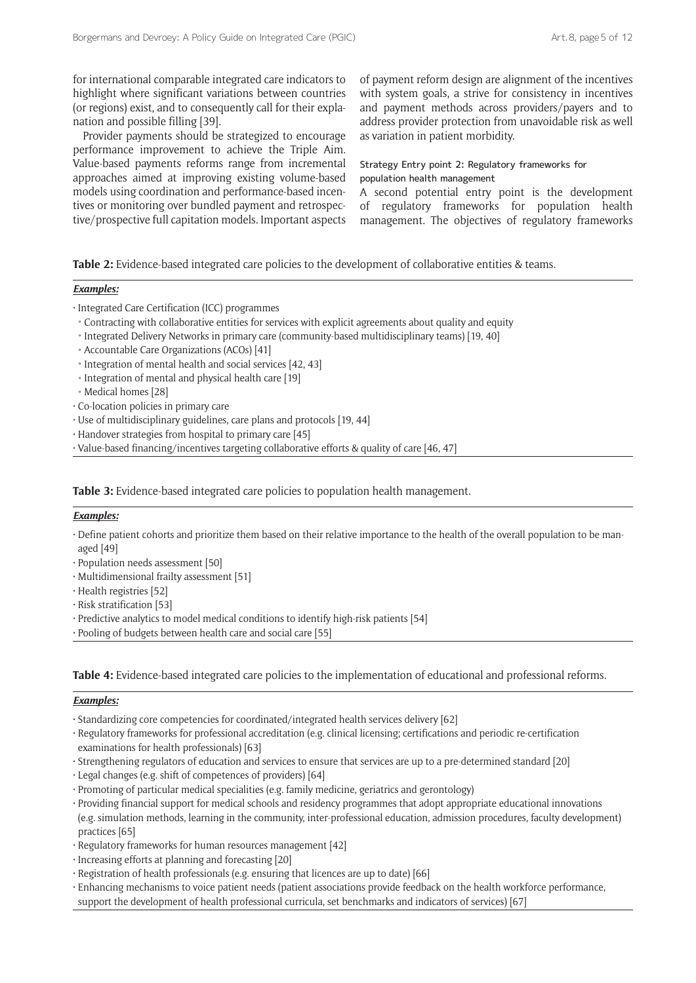for international comparable integrated care indicators to highlight where significant variations between countries (or regions) exist, and to consequently call for their explanation and possible filling [39].

Provider payments should be strategized to encourage performance improvement to achieve the Triple Aim. Value-based payments reforms range from incremental approaches aimed at improving existing volume-based models using coordination and performance-based incentives or monitoring over bundled payment and retrospective/prospective full capitation models. Important aspects of payment reform design are alignment of the incentives with system goals, a strive for consistency in incentives and payment methods across providers/payers and to address provider protection from unavoidable risk as well as variation in patient morbidity.

## Strategy Entry point 2: Regulatory frameworks for population health management

A second potential entry point is the development of regulatory frameworks for population health management. The objectives of regulatory frameworks

**Table 2:** Evidence-based integrated care policies to the development of collaborative entities & teams.

## *Examples:*

• Integrated Care Certification (ICC) programmes

- ˚ Contracting with collaborative entities for services with explicit agreements about quality and equity
- ˚ Integrated Delivery Networks in primary care (community-based multidisciplinary teams) [19, 40]
- Accountable Care Organizations (ACOs) [41]
- Integration of mental health and social services [42, 43]
- Integration of mental and physical health care [19]
- Medical homes [28]
- Co-location policies in primary care
- Use of multidisciplinary guidelines, care plans and protocols [19, 44]
- Handover strategies from hospital to primary care [45]
- Value-based financing/incentives targeting collaborative efforts & quality of care [46, 47]

**Table 3:** Evidence-based integrated care policies to population health management.

## *Examples:*

- Define patient cohorts and prioritize them based on their relative importance to the health of the overall population to be managed [49]
- Population needs assessment [50]
- Multidimensional frailty assessment [51]
- Health registries [52]
- Risk stratification [53]
- Predictive analytics to model medical conditions to identify high-risk patients [54]
- Pooling of budgets between health care and social care [55]

**Table 4:** Evidence-based integrated care policies to the implementation of educational and professional reforms.

#### *Examples:*

- Standardizing core competencies for coordinated/integrated health services delivery [62]
- Regulatory frameworks for professional accreditation (e.g. clinical licensing; certifications and periodic re-certification examinations for health professionals) [63]
- Strengthening regulators of education and services to ensure that services are up to a pre-determined standard [20]
- Legal changes (e.g. shift of competences of providers) [64]
- Promoting of particular medical specialities (e.g. family medicine, geriatrics and gerontology)
- Providing financial support for medical schools and residency programmes that adopt appropriate educational innovations (e.g. simulation methods, learning in the community, inter-professional education, admission procedures, faculty development) practices [65]
- Regulatory frameworks for human resources management [42]
- Increasing efforts at planning and forecasting [20]
- Registration of health professionals (e.g. ensuring that licences are up to date) [66]
- Enhancing mechanisms to voice patient needs (patient associations provide feedback on the health workforce performance, support the development of health professional curricula, set benchmarks and indicators of services) [67]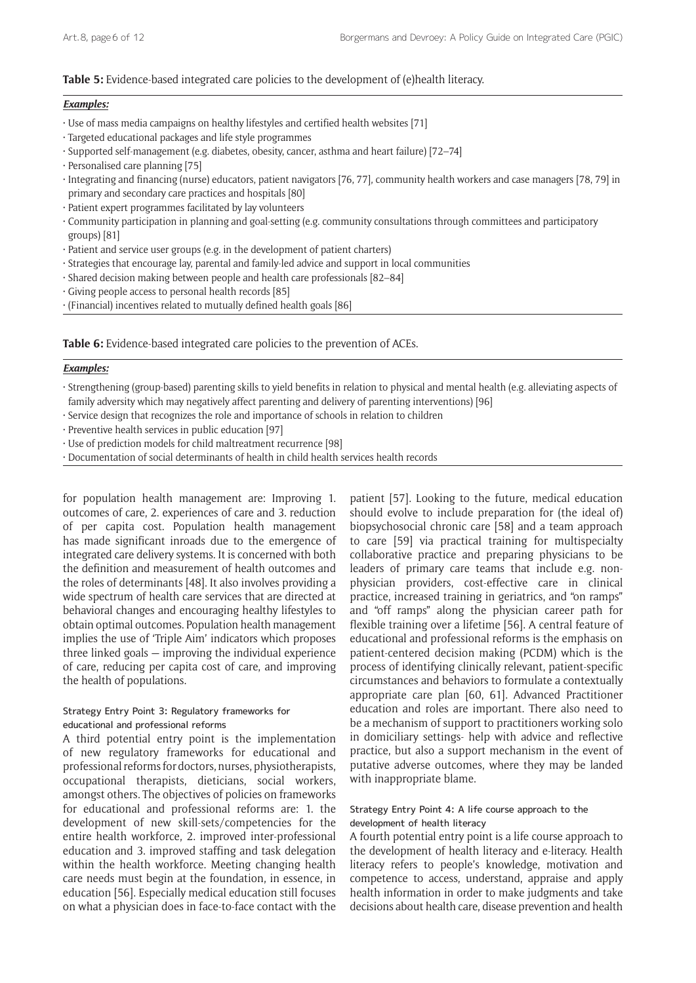## **Table 5:** Evidence-based integrated care policies to the development of (e)health literacy.

#### *Examples:*

- Use of mass media campaigns on healthy lifestyles and certified health websites [71]
- Targeted educational packages and life style programmes
- Supported self-management (e.g. diabetes, obesity, cancer, asthma and heart failure) [72–74]
- Personalised care planning [75]
- Integrating and financing (nurse) educators, patient navigators [76, 77], community health workers and case managers [78, 79] in primary and secondary care practices and hospitals [80]
- Patient expert programmes facilitated by lay volunteers
- Community participation in planning and goal-setting (e.g. community consultations through committees and participatory groups) [81]
- Patient and service user groups (e.g. in the development of patient charters)
- Strategies that encourage lay, parental and family-led advice and support in local communities
- Shared decision making between people and health care professionals [82–84]
- Giving people access to personal health records [85]
- (Financial) incentives related to mutually defined health goals [86]

**Table 6:** Evidence-based integrated care policies to the prevention of ACEs.

#### *Examples:*

• Strengthening (group-based) parenting skills to yield benefits in relation to physical and mental health (e.g. alleviating aspects of family adversity which may negatively affect parenting and delivery of parenting interventions) [96]

• Service design that recognizes the role and importance of schools in relation to children

• Preventive health services in public education [97]

- Use of prediction models for child maltreatment recurrence [98]
- Documentation of social determinants of health in child health services health records

for population health management are: Improving 1. outcomes of care, 2. experiences of care and 3. reduction of per capita cost. Population health management has made significant inroads due to the emergence of integrated care delivery systems. It is concerned with both the definition and measurement of health outcomes and the roles of determinants [48]. It also involves providing a wide spectrum of health care services that are directed at behavioral changes and encouraging healthy lifestyles to obtain optimal outcomes. Population health management implies the use of 'Triple Aim' indicators which proposes three linked goals — improving the individual experience of care, reducing per capita cost of care, and improving the health of populations.

#### Strategy Entry Point 3: Regulatory frameworks for educational and professional reforms

A third potential entry point is the implementation of new regulatory frameworks for educational and professional reforms for doctors, nurses, physiotherapists, occupational therapists, dieticians, social workers, amongst others. The objectives of policies on frameworks for educational and professional reforms are: 1. the development of new skill-sets/competencies for the entire health workforce, 2. improved inter-professional education and 3. improved staffing and task delegation within the health workforce. Meeting changing health care needs must begin at the foundation, in essence, in education [56]. Especially medical education still focuses on what a physician does in face-to-face contact with the

patient [57]. Looking to the future, medical education should evolve to include preparation for (the ideal of) biopsychosocial chronic care [58] and a team approach to care [59] via practical training for multispecialty collaborative practice and preparing physicians to be leaders of primary care teams that include e.g. nonphysician providers, cost-effective care in clinical practice, increased training in geriatrics, and "on ramps" and "off ramps" along the physician career path for flexible training over a lifetime [56]. A central feature of educational and professional reforms is the emphasis on patient-centered decision making (PCDM) which is the process of identifying clinically relevant, patient-specific circumstances and behaviors to formulate a contextually appropriate care plan [60, 61]. Advanced Practitioner education and roles are important. There also need to be a mechanism of support to practitioners working solo in domiciliary settings- help with advice and reflective practice, but also a support mechanism in the event of putative adverse outcomes, where they may be landed with inappropriate blame.

## Strategy Entry Point 4: A life course approach to the development of health literacy

A fourth potential entry point is a life course approach to the development of health literacy and e-literacy. Health literacy refers to people's knowledge, motivation and competence to access, understand, appraise and apply health information in order to make judgments and take decisions about health care, disease prevention and health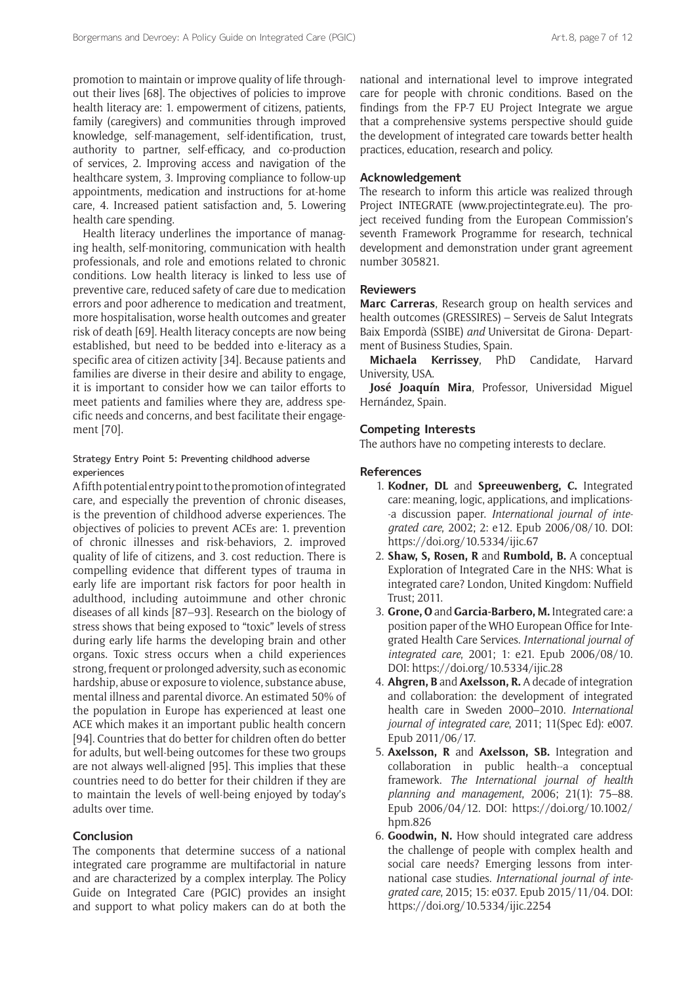promotion to maintain or improve quality of life throughout their lives [68]. The objectives of policies to improve health literacy are: 1. empowerment of citizens, patients, family (caregivers) and communities through improved knowledge, self-management, self-identification, trust, authority to partner, self-efficacy, and co-production of services, 2. Improving access and navigation of the healthcare system, 3. Improving compliance to follow-up appointments, medication and instructions for at-home care, 4. Increased patient satisfaction and, 5. Lowering health care spending.

Health literacy underlines the importance of managing health, self-monitoring, communication with health professionals, and role and emotions related to chronic conditions. Low health literacy is linked to less use of preventive care, reduced safety of care due to medication errors and poor adherence to medication and treatment, more hospitalisation, worse health outcomes and greater risk of death [69]. Health literacy concepts are now being established, but need to be bedded into e-literacy as a specific area of citizen activity [34]. Because patients and families are diverse in their desire and ability to engage, it is important to consider how we can tailor efforts to meet patients and families where they are, address specific needs and concerns, and best facilitate their engagement [70].

#### Strategy Entry Point 5: Preventing childhood adverse experiences

A fifth potential entry point to the promotion of integrated care, and especially the prevention of chronic diseases, is the prevention of childhood adverse experiences. The objectives of policies to prevent ACEs are: 1. prevention of chronic illnesses and risk-behaviors, 2. improved quality of life of citizens, and 3. cost reduction. There is compelling evidence that different types of trauma in early life are important risk factors for poor health in adulthood, including autoimmune and other chronic diseases of all kinds [87–93]. Research on the biology of stress shows that being exposed to "toxic" levels of stress during early life harms the developing brain and other organs. Toxic stress occurs when a child experiences strong, frequent or prolonged adversity, such as economic hardship, abuse or exposure to violence, substance abuse, mental illness and parental divorce. An estimated 50% of the population in Europe has experienced at least one ACE which makes it an important public health concern [94]. Countries that do better for children often do better for adults, but well-being outcomes for these two groups are not always well-aligned [95]. This implies that these countries need to do better for their children if they are to maintain the levels of well-being enjoyed by today's adults over time.

## **Conclusion**

The components that determine success of a national integrated care programme are multifactorial in nature and are characterized by a complex interplay. The Policy Guide on Integrated Care (PGIC) provides an insight and support to what policy makers can do at both the national and international level to improve integrated care for people with chronic conditions. Based on the findings from the FP-7 EU Project Integrate we argue that a comprehensive systems perspective should guide the development of integrated care towards better health practices, education, research and policy.

#### **Acknowledgement**

The research to inform this article was realized through Project INTEGRATE [\(www.projectintegrate.eu\)](www.projectintegrate.eu). The project received funding from the European Commission's seventh Framework Programme for research, technical development and demonstration under grant agreement number 305821.

## **Reviewers**

**Marc Carreras**, Research group on health services and health outcomes (GRESSIRES) – Serveis de Salut Integrats Baix Empordà (SSIBE) *and* Universitat de Girona- Department of Business Studies, Spain.

**Michaela Kerrissey**, PhD Candidate, Harvard University, USA.

**José Joaquín Mira**, Professor, Universidad Miguel Hernández, Spain.

## **Competing Interests**

The authors have no competing interests to declare.

#### **References**

- 1. **Kodner, DL** and **Spreeuwenberg, C.** Integrated care: meaning, logic, applications, and implications- -a discussion paper. *International journal of integrated care*, 2002; 2: e12. Epub 2006/08/10. DOI: <https://doi.org/10.5334/ijic.67>
- 2. **Shaw, S, Rosen, R** and **Rumbold, B.** A conceptual Exploration of Integrated Care in the NHS: What is integrated care? London, United Kingdom: Nuffield Trust; 2011.
- 3. **Grone, O** and **Garcia-Barbero, M.** Integrated care: a position paper of the WHO European Office for Integrated Health Care Services. *International journal of integrated care*, 2001; 1: e21. Epub 2006/08/10. DOI: <https://doi.org/10.5334/ijic.28>
- 4. **Ahgren, B** and **Axelsson, R.** A decade of integration and collaboration: the development of integrated health care in Sweden 2000–2010. *International journal of integrated care*, 2011; 11(Spec Ed): e007. Epub 2011/06/17.
- 5. **Axelsson, R** and **Axelsson, SB.** Integration and collaboration in public health--a conceptual framework. *The International journal of health planning and management*, 2006; 21(1): 75–88. Epub 2006/04/12. DOI: [https://doi.org/10.1002/](https://doi.org/10.1002/hpm.826) [hpm.826](https://doi.org/10.1002/hpm.826)
- 6. **Goodwin, N.** How should integrated care address the challenge of people with complex health and social care needs? Emerging lessons from international case studies. *International journal of integrated care*, 2015; 15: e037. Epub 2015/11/04. DOI: <https://doi.org/10.5334/ijic.2254>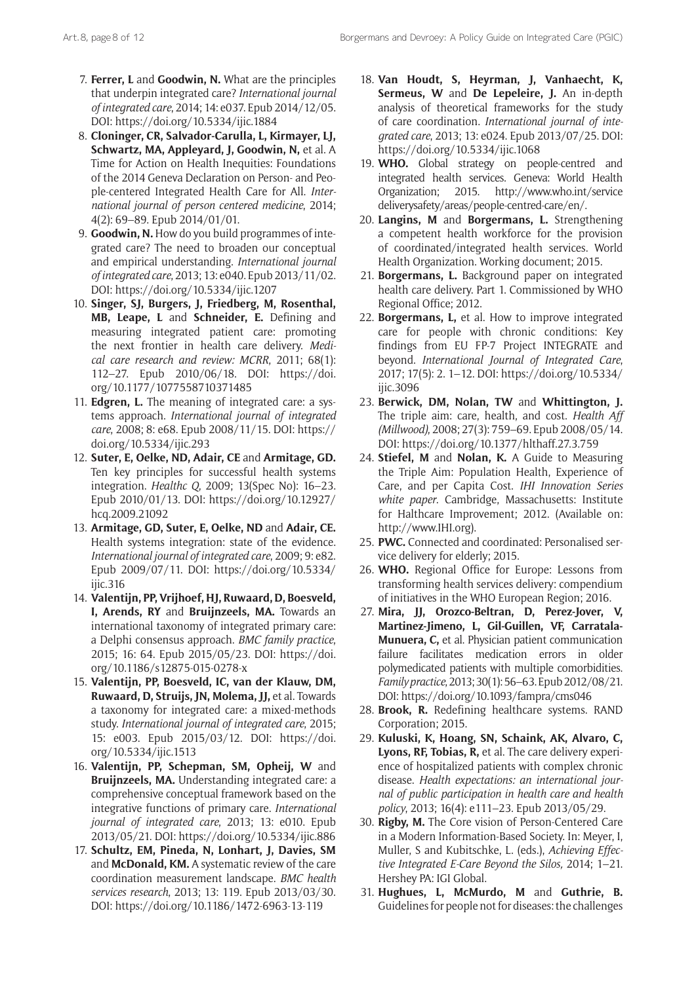- 7. **Ferrer, L** and **Goodwin, N.** What are the principles that underpin integrated care? *International journal of integrated care*, 2014; 14: e037. Epub 2014/12/05. DOI: <https://doi.org/10.5334/ijic.1884>
- 8. **Cloninger, CR, Salvador-Carulla, L, Kirmayer, LJ, Schwartz, MA, Appleyard, J, Goodwin, N,** et al. A Time for Action on Health Inequities: Foundations of the 2014 Geneva Declaration on Person- and People-centered Integrated Health Care for All. *International journal of person centered medicine*, 2014; 4(2): 69–89. Epub 2014/01/01.
- 9. **Goodwin, N.** How do you build programmes of integrated care? The need to broaden our conceptual and empirical understanding. *International journal of integrated care*, 2013; 13: e040. Epub 2013/11/02. DOI: <https://doi.org/10.5334/ijic.1207>
- 10. **Singer, SJ, Burgers, J, Friedberg, M, Rosenthal, MB, Leape, L** and **Schneider, E.** Defining and measuring integrated patient care: promoting the next frontier in health care delivery. *Medical care research and review: MCRR*, 2011; 68(1): 112–27. Epub 2010/06/18. DOI: [https://doi.](https://doi.org/10.1177/1077558710371485) [org/10.1177/1077558710371485](https://doi.org/10.1177/1077558710371485)
- 11. **Edgren, L.** The meaning of integrated care: a systems approach. *International journal of integrated care*, 2008; 8: e68. Epub 2008/11/15. DOI: [https://](https://doi.org/10.5334/ijic.293) [doi.org/10.5334/ijic.293](https://doi.org/10.5334/ijic.293)
- 12. **Suter, E, Oelke, ND, Adair, CE** and **Armitage, GD.** Ten key principles for successful health systems integration. *Healthc Q*, 2009; 13(Spec No): 16–23. Epub 2010/01/13. DOI: [https://doi.org/10.12927/](https://doi.org/10.12927/hcq.2009.21092) [hcq.2009.21092](https://doi.org/10.12927/hcq.2009.21092)
- 13. **Armitage, GD, Suter, E, Oelke, ND** and **Adair, CE.** Health systems integration: state of the evidence. *International journal of integrated care*, 2009; 9: e82. Epub 2009/07/11. DOI: [https://doi.org/10.5334/](https://doi.org/10.5334/ijic.316) [ijic.316](https://doi.org/10.5334/ijic.316)
- 14. **Valentijn, PP, Vrijhoef, HJ, Ruwaard, D, Boesveld, I, Arends, RY** and **Bruijnzeels, MA.** Towards an international taxonomy of integrated primary care: a Delphi consensus approach. *BMC family practice*, 2015; 16: 64. Epub 2015/05/23. DOI: [https://doi.](https://doi.org/10.1186/s12875-015-0278-x) [org/10.1186/s12875-015-0278-x](https://doi.org/10.1186/s12875-015-0278-x)
- 15. **Valentijn, PP, Boesveld, IC, van der Klauw, DM, Ruwaard, D, Struijs, JN, Molema, JJ,** et al. Towards a taxonomy for integrated care: a mixed-methods study. *International journal of integrated care*, 2015; 15: e003. Epub 2015/03/12. DOI: [https://doi.](https://doi.org/10.5334/ijic.1513) [org/10.5334/ijic.1513](https://doi.org/10.5334/ijic.1513)
- 16. **Valentijn, PP, Schepman, SM, Opheij, W** and **Bruijnzeels, MA.** Understanding integrated care: a comprehensive conceptual framework based on the integrative functions of primary care. *International journal of integrated care*, 2013; 13: e010. Epub 2013/05/21. DOI: <https://doi.org/10.5334/ijic.886>
- 17. **Schultz, EM, Pineda, N, Lonhart, J, Davies, SM** and **McDonald, KM.** A systematic review of the care coordination measurement landscape. *BMC health services research*, 2013; 13: 119. Epub 2013/03/30. DOI: <https://doi.org/10.1186/1472-6963-13-119>
- 18. **Van Houdt, S, Heyrman, J, Vanhaecht, K, Sermeus, W** and **De Lepeleire, J.** An in-depth analysis of theoretical frameworks for the study of care coordination. *International journal of integrated care*, 2013; 13: e024. Epub 2013/07/25. DOI: <https://doi.org/10.5334/ijic.1068>
- 19. **WHO.** Global strategy on people-centred and integrated health services. Geneva: World Health Organization; 2015. [http://www.who.int/service](http://www.who.int/servicedeliverysafety/areas/people-centred-care/en/) [deliverysafety/areas/people-centred-care/en/](http://www.who.int/servicedeliverysafety/areas/people-centred-care/en/).
- 20. **Langins, M** and **Borgermans, L.** Strengthening a competent health workforce for the provision of coordinated/integrated health services. World Health Organization. Working document; 2015.
- 21. **Borgermans, L.** Background paper on integrated health care delivery. Part 1. Commissioned by WHO Regional Office; 2012.
- 22. **Borgermans, L,** et al. How to improve integrated care for people with chronic conditions: Key findings from EU FP-7 Project INTEGRATE and beyond. *International Journal of Integrated Care*, 2017; 17(5): 2. 1–12. DOI: [https://doi.org/10.5334/](https://doi.org/10.5334/ijic.3096) [ijic.3096](https://doi.org/10.5334/ijic.3096)
- 23. **Berwick, DM, Nolan, TW** and **Whittington, J.** The triple aim: care, health, and cost. *Health Aff (Millwood)*, 2008; 27(3): 759–69. Epub 2008/05/14. DOI:<https://doi.org/10.1377/hlthaff.27.3.759>
- 24. **Stiefel, M** and **Nolan, K.** A Guide to Measuring the Triple Aim: Population Health, Experience of Care, and per Capita Cost. *IHI Innovation Series white paper*. Cambridge, Massachusetts: Institute for Halthcare Improvement; 2012. (Available on: [http://www.IHI.org\)](http://www.IHI.org).
- 25. **PWC.** Connected and coordinated: Personalised service delivery for elderly; 2015.
- 26. **WHO.** Regional Office for Europe: Lessons from transforming health services delivery: compendium of initiatives in the WHO European Region; 2016.
- 27. **Mira, JJ, Orozco-Beltran, D, Perez-Jover, V, Martinez-Jimeno, L, Gil-Guillen, VF, Carratala-Munuera, C,** et al. Physician patient communication failure facilitates medication errors in older polymedicated patients with multiple comorbidities. *Family practice*, 2013; 30(1): 56–63. Epub 2012/08/21. DOI:<https://doi.org/10.1093/fampra/cms046>
- 28. **Brook, R.** Redefining healthcare systems. RAND Corporation; 2015.
- 29. **Kuluski, K, Hoang, SN, Schaink, AK, Alvaro, C, Lyons, RF, Tobias, R,** et al. The care delivery experience of hospitalized patients with complex chronic disease. *Health expectations: an international journal of public participation in health care and health policy*, 2013; 16(4): e111–23. Epub 2013/05/29.
- 30. **Rigby, M.** The Core vision of Person-Centered Care in a Modern Information-Based Society. In: Meyer, I, Muller, S and Kubitschke, L. (eds.), *Achieving Effective Integrated E-Care Beyond the Silos,* 2014; 1–21. Hershey PA: IGI Global.
- 31. **Hughues, L, McMurdo, M** and **Guthrie, B.** Guidelines for people not for diseases: the challenges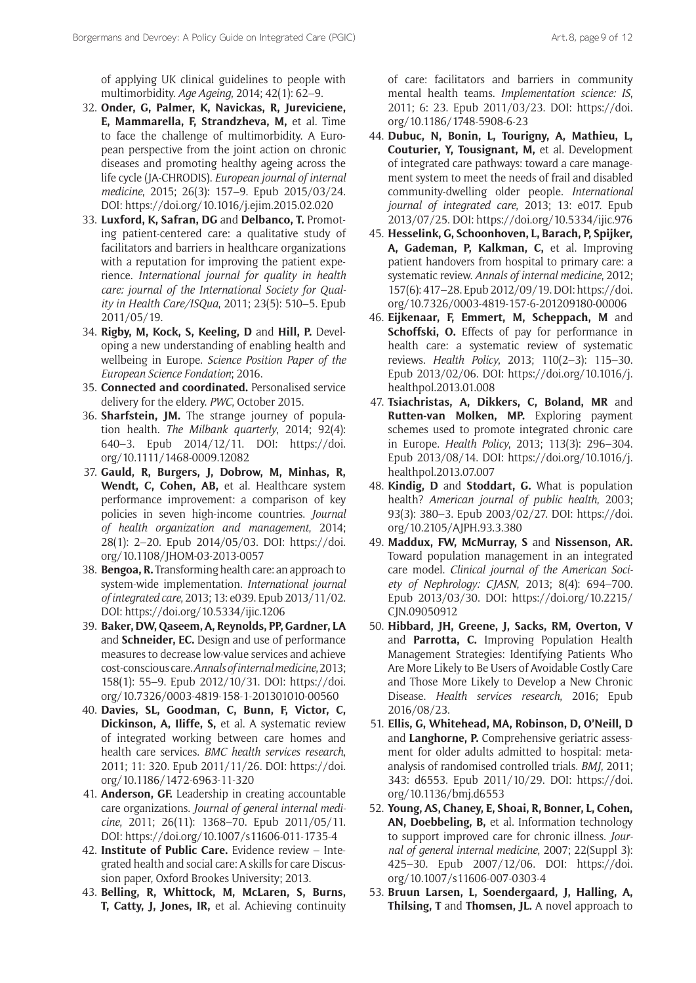of applying UK clinical guidelines to people with multimorbidity. *Age Ageing*, 2014; 42(1): 62–9.

- 32. **Onder, G, Palmer, K, Navickas, R, Jureviciene, E, Mammarella, F, Strandzheva, M,** et al. Time to face the challenge of multimorbidity. A European perspective from the joint action on chronic diseases and promoting healthy ageing across the life cycle (JA-CHRODIS). *European journal of internal medicine*, 2015; 26(3): 157–9. Epub 2015/03/24. DOI:<https://doi.org/10.1016/j.ejim.2015.02.020>
- 33. **Luxford, K, Safran, DG** and **Delbanco, T.** Promoting patient-centered care: a qualitative study of facilitators and barriers in healthcare organizations with a reputation for improving the patient experience. *International journal for quality in health care: journal of the International Society for Quality in Health Care/ISQua*, 2011; 23(5): 510–5. Epub 2011/05/19.
- 34. **Rigby, M, Kock, S, Keeling, D** and **Hill, P.** Developing a new understanding of enabling health and wellbeing in Europe. *Science Position Paper of the European Science Fondation*; 2016.
- 35. **Connected and coordinated.** Personalised service delivery for the eldery. *PWC*, October 2015.
- 36. **Sharfstein, JM.** The strange journey of population health. *The Milbank quarterly*, 2014; 92(4): 640–3. Epub 2014/12/11. DOI: [https://doi.](https://doi.org/10.1111/1468-0009.12082) [org/10.1111/1468-0009.12082](https://doi.org/10.1111/1468-0009.12082)
- 37. **Gauld, R, Burgers, J, Dobrow, M, Minhas, R, Wendt, C, Cohen, AB,** et al. Healthcare system performance improvement: a comparison of key policies in seven high-income countries. *Journal of health organization and management*, 2014; 28(1): 2–20. Epub 2014/05/03. DOI: [https://doi.](https://doi.org/10.1108/JHOM-03-2013-0057) [org/10.1108/JHOM-03-2013-0057](https://doi.org/10.1108/JHOM-03-2013-0057)
- 38. **Bengoa, R.** Transforming health care: an approach to system-wide implementation. *International journal of integrated care*, 2013; 13: e039. Epub 2013/11/02. DOI: <https://doi.org/10.5334/ijic.1206>
- 39. **Baker, DW, Qaseem, A, Reynolds, PP, Gardner, LA** and **Schneider, EC.** Design and use of performance measures to decrease low-value services and achieve cost-conscious care. *Annals of internal medicine*, 2013; 158(1): 55–9. Epub 2012/10/31. DOI: [https://doi.](https://doi.org/10.7326/0003-4819-158-1-201301010-00560) [org/10.7326/0003-4819-158-1-201301010-00560](https://doi.org/10.7326/0003-4819-158-1-201301010-00560)
- 40. **Davies, SL, Goodman, C, Bunn, F, Victor, C, Dickinson, A, Iliffe, S,** et al. A systematic review of integrated working between care homes and health care services. *BMC health services research*, 2011; 11: 320. Epub 2011/11/26. DOI: [https://doi.](https://doi.org/10.1186/1472-6963-11-320) [org/10.1186/1472-6963-11-320](https://doi.org/10.1186/1472-6963-11-320)
- 41. **Anderson, GF.** Leadership in creating accountable care organizations. *Journal of general internal medicine*, 2011; 26(11): 1368–70. Epub 2011/05/11. DOI:<https://doi.org/10.1007/s11606-011-1735-4>
- 42. **Institute of Public Care.** Evidence review Integrated health and social care: A skills for care Discussion paper, Oxford Brookes University; 2013.
- 43. **Belling, R, Whittock, M, McLaren, S, Burns, T, Catty, J, Jones, IR,** et al. Achieving continuity

of care: facilitators and barriers in community mental health teams. *Implementation science: IS*, 2011; 6: 23. Epub 2011/03/23. DOI: [https://doi.](https://doi.org/10.1186/1748-5908-6-23) [org/10.1186/1748-5908-6-23](https://doi.org/10.1186/1748-5908-6-23)

- 44. **Dubuc, N, Bonin, L, Tourigny, A, Mathieu, L, Couturier, Y, Tousignant, M,** et al. Development of integrated care pathways: toward a care management system to meet the needs of frail and disabled community-dwelling older people. *International journal of integrated care*, 2013; 13: e017. Epub 2013/07/25. DOI: <https://doi.org/10.5334/ijic.976>
- 45. **Hesselink, G, Schoonhoven, L, Barach, P, Spijker, A, Gademan, P, Kalkman, C,** et al. Improving patient handovers from hospital to primary care: a systematic review. *Annals of internal medicine*, 2012; 157(6): 417–28. Epub 2012/09/19. DOI: [https://doi.](https://doi.org/10.7326/0003-4819-157-6-201209180-00006) [org/10.7326/0003-4819-157-6-201209180-00006](https://doi.org/10.7326/0003-4819-157-6-201209180-00006)
- 46. **Eijkenaar, F, Emmert, M, Scheppach, M** and **Schoffski, O.** Effects of pay for performance in health care: a systematic review of systematic reviews. *Health Policy*, 2013; 110(2–3): 115–30. Epub 2013/02/06. DOI: [https://doi.org/10.1016/j.](https://doi.org/10.1016/j.healthpol.2013.01.008) [healthpol.2013.01.008](https://doi.org/10.1016/j.healthpol.2013.01.008)
- 47. **Tsiachristas, A, Dikkers, C, Boland, MR** and **Rutten-van Molken, MP.** Exploring payment schemes used to promote integrated chronic care in Europe. *Health Policy*, 2013; 113(3): 296–304. Epub 2013/08/14. DOI: [https://doi.org/10.1016/j.](https://doi.org/10.1016/j.healthpol.2013.07.007) [healthpol.2013.07.007](https://doi.org/10.1016/j.healthpol.2013.07.007)
- 48. **Kindig, D** and **Stoddart, G.** What is population health? *American journal of public health*, 2003; 93(3): 380–3. Epub 2003/02/27. DOI: [https://doi.](https://doi.org/10.2105/AJPH.93.3.380) [org/10.2105/AJPH.93.3.380](https://doi.org/10.2105/AJPH.93.3.380)
- 49. **Maddux, FW, McMurray, S** and **Nissenson, AR.** Toward population management in an integrated care model. *Clinical journal of the American Society of Nephrology: CJASN*, 2013; 8(4): 694–700. Epub 2013/03/30. DOI: [https://doi.org/10.2215/](https://doi.org/10.2215/CJN.09050912) [CJN.09050912](https://doi.org/10.2215/CJN.09050912)
- 50. **Hibbard, JH, Greene, J, Sacks, RM, Overton, V** and **Parrotta, C.** Improving Population Health Management Strategies: Identifying Patients Who Are More Likely to Be Users of Avoidable Costly Care and Those More Likely to Develop a New Chronic Disease. *Health services research*, 2016; Epub 2016/08/23.
- 51. **Ellis, G, Whitehead, MA, Robinson, D, O'Neill, D** and **Langhorne, P.** Comprehensive geriatric assessment for older adults admitted to hospital: metaanalysis of randomised controlled trials. *BMJ*, 2011; 343: d6553. Epub 2011/10/29. DOI: [https://doi.](https://doi.org/10.1136/bmj.d6553) [org/10.1136/bmj.d6553](https://doi.org/10.1136/bmj.d6553)
- 52. **Young, AS, Chaney, E, Shoai, R, Bonner, L, Cohen, AN, Doebbeling, B,** et al. Information technology to support improved care for chronic illness. *Journal of general internal medicine*, 2007; 22(Suppl 3): 425–30. Epub 2007/12/06. DOI: [https://doi.](https://doi.org/10.1007/s11606-007-0303-4) [org/10.1007/s11606-007-0303-4](https://doi.org/10.1007/s11606-007-0303-4)
- 53. **Bruun Larsen, L, Soendergaard, J, Halling, A, Thilsing, T** and **Thomsen, JL.** A novel approach to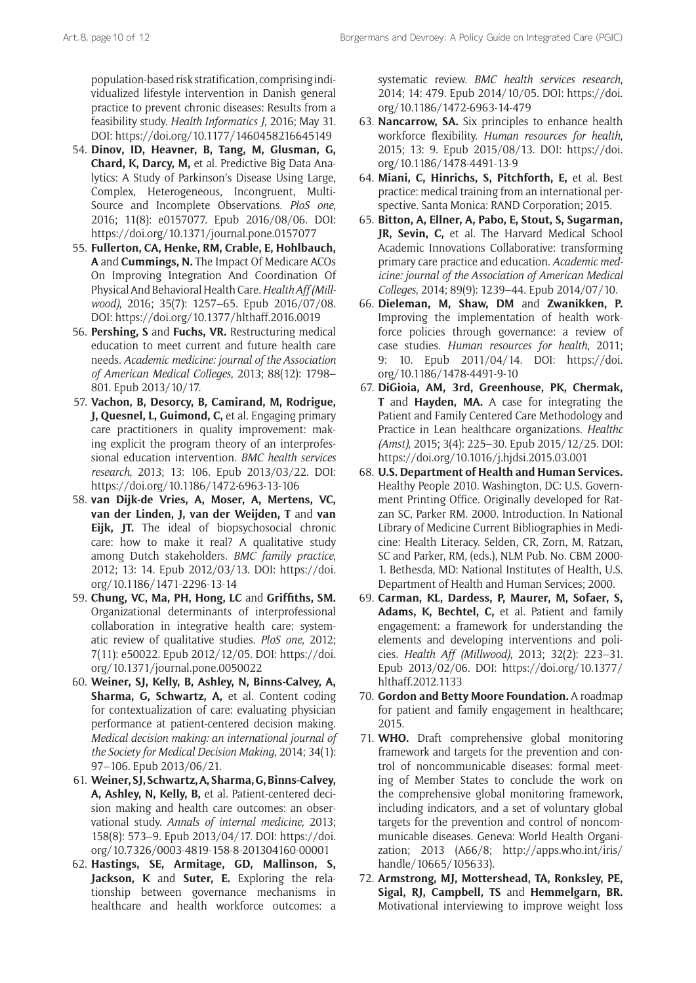population-based risk stratification, comprising individualized lifestyle intervention in Danish general practice to prevent chronic diseases: Results from a feasibility study. *Health Informatics J*, 2016; May 31. DOI: <https://doi.org/10.1177/1460458216645149>

- 54. **Dinov, ID, Heavner, B, Tang, M, Glusman, G, Chard, K, Darcy, M,** et al. Predictive Big Data Analytics: A Study of Parkinson's Disease Using Large, Complex, Heterogeneous, Incongruent, Multi-Source and Incomplete Observations. *PloS one*, 2016; 11(8): e0157077. Epub 2016/08/06. DOI: <https://doi.org/10.1371/journal.pone.0157077>
- 55. **Fullerton, CA, Henke, RM, Crable, E, Hohlbauch, A** and **Cummings, N.** The Impact Of Medicare ACOs On Improving Integration And Coordination Of Physical And Behavioral Health Care. *Health Aff (Millwood)*, 2016; 35(7): 1257–65. Epub 2016/07/08. DOI: <https://doi.org/10.1377/hlthaff.2016.0019>
- 56. **Pershing, S** and **Fuchs, VR.** Restructuring medical education to meet current and future health care needs. *Academic medicine: journal of the Association of American Medical Colleges*, 2013; 88(12): 1798– 801. Epub 2013/10/17.
- 57. **Vachon, B, Desorcy, B, Camirand, M, Rodrigue, J, Quesnel, L, Guimond, C,** et al. Engaging primary care practitioners in quality improvement: making explicit the program theory of an interprofessional education intervention. *BMC health services research*, 2013; 13: 106. Epub 2013/03/22. DOI: <https://doi.org/10.1186/1472-6963-13-106>
- 58. **van Dijk-de Vries, A, Moser, A, Mertens, VC, van der Linden, J, van der Weijden, T** and **van Eijk, JT.** The ideal of biopsychosocial chronic care: how to make it real? A qualitative study among Dutch stakeholders. *BMC family practice*, 2012; 13: 14. Epub 2012/03/13. DOI: [https://doi.](https://doi.org/10.1186/1471-2296-13-14) [org/10.1186/1471-2296-13-14](https://doi.org/10.1186/1471-2296-13-14)
- 59. **Chung, VC, Ma, PH, Hong, LC** and **Griffiths, SM.** Organizational determinants of interprofessional collaboration in integrative health care: systematic review of qualitative studies. *PloS one*, 2012; 7(11): e50022. Epub 2012/12/05. DOI: [https://doi.](https://doi.org/10.1371/journal.pone.0050022) [org/10.1371/journal.pone.0050022](https://doi.org/10.1371/journal.pone.0050022)
- 60. **Weiner, SJ, Kelly, B, Ashley, N, Binns-Calvey, A, Sharma, G, Schwartz, A,** et al. Content coding for contextualization of care: evaluating physician performance at patient-centered decision making. *Medical decision making: an international journal of the Society for Medical Decision Making*, 2014; 34(1): 97–106. Epub 2013/06/21.
- 61. **Weiner, SJ, Schwartz, A, Sharma, G, Binns-Calvey, A, Ashley, N, Kelly, B,** et al. Patient-centered decision making and health care outcomes: an observational study. *Annals of internal medicine*, 2013; 158(8): 573–9. Epub 2013/04/17. DOI: [https://doi.](https://doi.org/10.7326/0003-4819-158-8-201304160-00001) [org/10.7326/0003-4819-158-8-201304160-00001](https://doi.org/10.7326/0003-4819-158-8-201304160-00001)
- 62. **Hastings, SE, Armitage, GD, Mallinson, S, Jackson, K** and **Suter, E.** Exploring the relationship between governance mechanisms in healthcare and health workforce outcomes: a

systematic review. *BMC health services research*, 2014; 14: 479. Epub 2014/10/05. DOI: [https://doi.](https://doi.org/10.1186/1472-6963-14-479) [org/10.1186/1472-6963-14-479](https://doi.org/10.1186/1472-6963-14-479)

- 63. **Nancarrow, SA.** Six principles to enhance health workforce flexibility. *Human resources for health*, 2015; 13: 9. Epub 2015/08/13. DOI: [https://doi.](https://doi.org/10.1186/1478-4491-13-9) [org/10.1186/1478-4491-13-9](https://doi.org/10.1186/1478-4491-13-9)
- 64. **Miani, C, Hinrichs, S, Pitchforth, E,** et al. Best practice: medical training from an international perspective. Santa Monica: RAND Corporation; 2015.
- 65. **Bitton, A, Ellner, A, Pabo, E, Stout, S, Sugarman, JR, Sevin, C,** et al. The Harvard Medical School Academic Innovations Collaborative: transforming primary care practice and education. *Academic medicine: journal of the Association of American Medical Colleges*, 2014; 89(9): 1239–44. Epub 2014/07/10.
- 66. **Dieleman, M, Shaw, DM** and **Zwanikken, P.** Improving the implementation of health workforce policies through governance: a review of case studies. *Human resources for health*, 2011; 9: 10. Epub 2011/04/14. DOI: [https://doi.](https://doi.org/10.1186/1478-4491-9-10) [org/10.1186/1478-4491-9-10](https://doi.org/10.1186/1478-4491-9-10)
- 67. **DiGioia, AM, 3rd, Greenhouse, PK, Chermak, T** and **Hayden, MA.** A case for integrating the Patient and Family Centered Care Methodology and Practice in Lean healthcare organizations. *Healthc (Amst)*, 2015; 3(4): 225–30. Epub 2015/12/25. DOI: <https://doi.org/10.1016/j.hjdsi.2015.03.001>
- 68. **U.S. Department of Health and Human Services.** Healthy People 2010. Washington, DC: U.S. Government Printing Office. Originally developed for Ratzan SC, Parker RM. 2000. Introduction. In National Library of Medicine Current Bibliographies in Medicine: Health Literacy. Selden, CR, Zorn, M, Ratzan, SC and Parker, RM, (eds.), NLM Pub. No. CBM 2000- 1. Bethesda, MD: National Institutes of Health, U.S. Department of Health and Human Services; 2000.
- 69. **Carman, KL, Dardess, P, Maurer, M, Sofaer, S, Adams, K, Bechtel, C,** et al. Patient and family engagement: a framework for understanding the elements and developing interventions and policies. *Health Aff (Millwood)*, 2013; 32(2): 223–31. Epub 2013/02/06. DOI: [https://doi.org/10.1377/](https://doi.org/10.1377/hlthaff.2012.1133) [hlthaff.2012.1133](https://doi.org/10.1377/hlthaff.2012.1133)
- 70. **Gordon and Betty Moore Foundation.** A roadmap for patient and family engagement in healthcare; 2015.
- 71. **WHO.** Draft comprehensive global monitoring framework and targets for the prevention and control of noncommunicable diseases: formal meeting of Member States to conclude the work on the comprehensive global monitoring framework, including indicators, and a set of voluntary global targets for the prevention and control of noncommunicable diseases. Geneva: World Health Organization; 2013 (A66/8; [http://apps.who.int/iris/](http://apps.who.int/iris/handle/10665/105633) [handle/10665/105633](http://apps.who.int/iris/handle/10665/105633)).
- 72. **Armstrong, MJ, Mottershead, TA, Ronksley, PE, Sigal, RJ, Campbell, TS** and **Hemmelgarn, BR.** Motivational interviewing to improve weight loss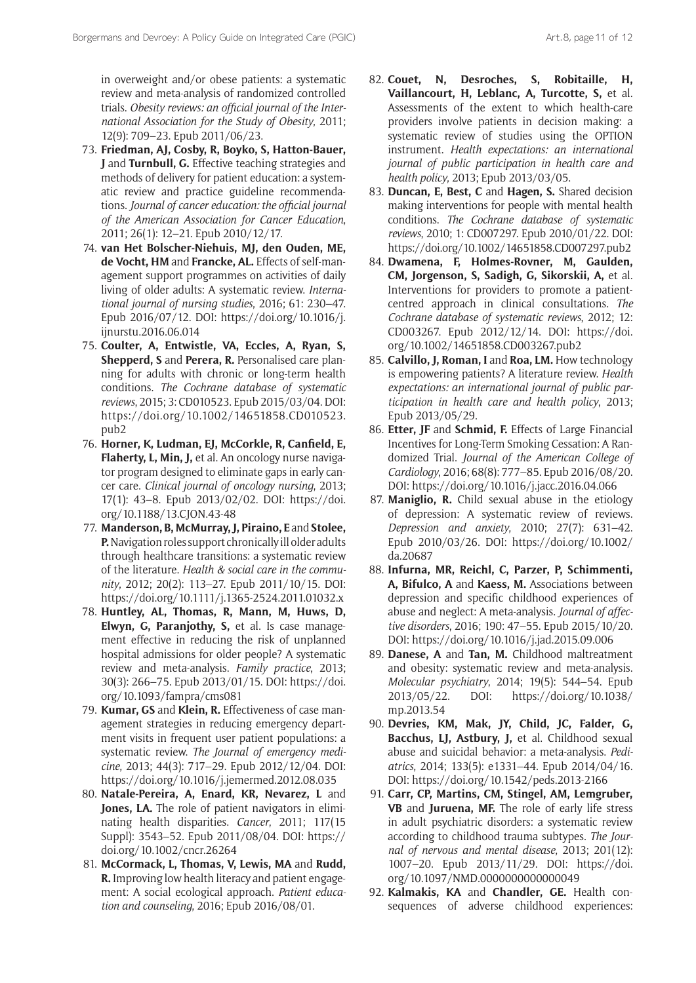in overweight and/or obese patients: a systematic review and meta-analysis of randomized controlled trials. *Obesity reviews: an official journal of the International Association for the Study of Obesity*, 2011; 12(9): 709–23. Epub 2011/06/23.

- 73. **Friedman, AJ, Cosby, R, Boyko, S, Hatton-Bauer, J** and **Turnbull, G.** Effective teaching strategies and methods of delivery for patient education: a systematic review and practice guideline recommendations. *Journal of cancer education: the official journal of the American Association for Cancer Education*, 2011; 26(1): 12–21. Epub 2010/12/17.
- 74. **van Het Bolscher-Niehuis, MJ, den Ouden, ME, de Vocht, HM** and **Francke, AL.** Effects of self-management support programmes on activities of daily living of older adults: A systematic review. *International journal of nursing studies*, 2016; 61: 230–47. Epub 2016/07/12. DOI: [https://doi.org/10.1016/j.](https://doi.org/10.1016/j.ijnurstu.2016.06.014) [ijnurstu.2016.06.014](https://doi.org/10.1016/j.ijnurstu.2016.06.014)
- 75. **Coulter, A, Entwistle, VA, Eccles, A, Ryan, S, Shepperd, S** and **Perera, R.** Personalised care planning for adults with chronic or long-term health conditions. *The Cochrane database of systematic reviews*, 2015; 3: CD010523. Epub 2015/03/04. DOI: [https://doi.org/10.1002/14651858.CD010523.](https://doi.org/10.1002/14651858.CD010523.pub2) [pub2](https://doi.org/10.1002/14651858.CD010523.pub2)
- 76. **Horner, K, Ludman, EJ, McCorkle, R, Canfield, E, Flaherty, L, Min, J,** et al. An oncology nurse navigator program designed to eliminate gaps in early cancer care. *Clinical journal of oncology nursing*, 2013; 17(1): 43–8. Epub 2013/02/02. DOI: [https://doi.](https://doi.org/10.1188/13.CJON.43-48) [org/10.1188/13.CJON.43-48](https://doi.org/10.1188/13.CJON.43-48)
- 77. **Manderson, B, McMurray, J, Piraino, E** and **Stolee, P.** Navigation roles support chronically ill older adults through healthcare transitions: a systematic review of the literature. *Health & social care in the community*, 2012; 20(2): 113–27. Epub 2011/10/15. DOI: <https://doi.org/10.1111/j.1365-2524.2011.01032.x>
- 78. **Huntley, AL, Thomas, R, Mann, M, Huws, D, Elwyn, G, Paranjothy, S,** et al. Is case management effective in reducing the risk of unplanned hospital admissions for older people? A systematic review and meta-analysis. *Family practice*, 2013; 30(3): 266–75. Epub 2013/01/15. DOI: [https://doi.](https://doi.org/10.1093/fampra/cms081) [org/10.1093/fampra/cms081](https://doi.org/10.1093/fampra/cms081)
- 79. **Kumar, GS** and **Klein, R.** Effectiveness of case management strategies in reducing emergency department visits in frequent user patient populations: a systematic review. *The Journal of emergency medicine*, 2013; 44(3): 717–29. Epub 2012/12/04. DOI: <https://doi.org/10.1016/j.jemermed.2012.08.035>
- 80. **Natale-Pereira, A, Enard, KR, Nevarez, L** and Jones, LA. The role of patient navigators in eliminating health disparities. *Cancer*, 2011; 117(15 Suppl): 3543–52. Epub 2011/08/04. DOI: [https://](https://doi.org/10.1002/cncr.26264) [doi.org/10.1002/cncr.26264](https://doi.org/10.1002/cncr.26264)
- 81. **McCormack, L, Thomas, V, Lewis, MA** and **Rudd, R.** Improving low health literacy and patient engagement: A social ecological approach. *Patient education and counseling*, 2016; Epub 2016/08/01.
- 82. **Couet, N, Desroches, S, Robitaille, H, Vaillancourt, H, Leblanc, A, Turcotte, S,** et al. Assessments of the extent to which health-care providers involve patients in decision making: a systematic review of studies using the OPTION instrument. *Health expectations: an international journal of public participation in health care and health policy*, 2013; Epub 2013/03/05.
- 83. **Duncan, E, Best, C** and **Hagen, S.** Shared decision making interventions for people with mental health conditions. *The Cochrane database of systematic reviews*, 2010; 1: CD007297. Epub 2010/01/22. DOI: <https://doi.org/10.1002/14651858.CD007297.pub2>
- 84. **Dwamena, F, Holmes-Rovner, M, Gaulden, CM, Jorgenson, S, Sadigh, G, Sikorskii, A,** et al. Interventions for providers to promote a patientcentred approach in clinical consultations. *The Cochrane database of systematic reviews*, 2012; 12: CD003267. Epub 2012/12/14. DOI: [https://doi.](https://doi.org/10.1002/14651858.CD003267.pub2) [org/10.1002/14651858.CD003267.pub2](https://doi.org/10.1002/14651858.CD003267.pub2)
- 85. **Calvillo, J, Roman, I** and **Roa, LM.** How technology is empowering patients? A literature review. *Health expectations: an international journal of public participation in health care and health policy*, 2013; Epub 2013/05/29.
- 86. **Etter, JF** and **Schmid, F.** Effects of Large Financial Incentives for Long-Term Smoking Cessation: A Randomized Trial. *Journal of the American College of Cardiology*, 2016; 68(8): 777–85. Epub 2016/08/20. DOI: <https://doi.org/10.1016/j.jacc.2016.04.066>
- 87. **Maniglio, R.** Child sexual abuse in the etiology of depression: A systematic review of reviews. *Depression and anxiety*, 2010; 27(7): 631–42. Epub 2010/03/26. DOI: [https://doi.org/10.1002/](https://doi.org/10.1002/da.20687) [da.20687](https://doi.org/10.1002/da.20687)
- 88. **Infurna, MR, Reichl, C, Parzer, P, Schimmenti, A, Bifulco, A** and **Kaess, M.** Associations between depression and specific childhood experiences of abuse and neglect: A meta-analysis. *Journal of affective disorders*, 2016; 190: 47–55. Epub 2015/10/20. DOI: <https://doi.org/10.1016/j.jad.2015.09.006>
- 89. **Danese, A** and **Tan, M.** Childhood maltreatment and obesity: systematic review and meta-analysis. *Molecular psychiatry*, 2014; 19(5): 544–54. Epub 2013/05/22. DOI: [https://doi.org/10.1038/](https://doi.org/10.1038/mp.2013.54) [mp.2013.54](https://doi.org/10.1038/mp.2013.54)
- 90. **Devries, KM, Mak, JY, Child, JC, Falder, G, Bacchus, LJ, Astbury, J,** et al. Childhood sexual abuse and suicidal behavior: a meta-analysis. *Pediatrics*, 2014; 133(5): e1331–44. Epub 2014/04/16. DOI: <https://doi.org/10.1542/peds.2013-2166>
- 91. **Carr, CP, Martins, CM, Stingel, AM, Lemgruber, VB** and **Juruena, MF.** The role of early life stress in adult psychiatric disorders: a systematic review according to childhood trauma subtypes. *The Journal of nervous and mental disease*, 2013; 201(12): 1007–20. Epub 2013/11/29. DOI: [https://doi.](https://doi.org/10.1097/NMD.0000000000000049) [org/10.1097/NMD.0000000000000049](https://doi.org/10.1097/NMD.0000000000000049)
- 92. **Kalmakis, KA** and **Chandler, GE.** Health consequences of adverse childhood experiences: